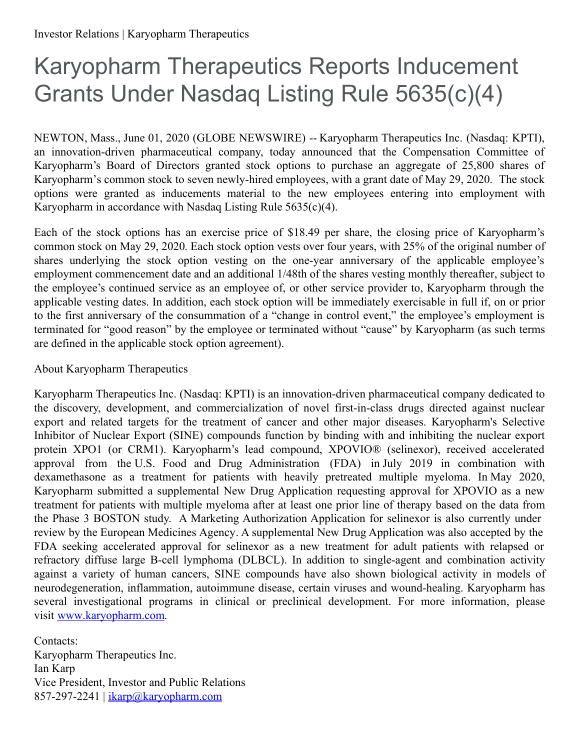## Karyopharm Therapeutics Reports Inducement Grants Under Nasdaq Listing Rule 5635(c)(4)

NEWTON, Mass., June 01, 2020 (GLOBE NEWSWIRE) -- Karyopharm Therapeutics Inc. (Nasdaq: KPTI), an innovation-driven pharmaceutical company, today announced that the Compensation Committee of Karyopharm's Board of Directors granted stock options to purchase an aggregate of 25,800 shares of Karyopharm's common stock to seven newly-hired employees, with a grant date of May 29, 2020. The stock options were granted as inducements material to the new employees entering into employment with Karyopharm in accordance with Nasdaq Listing Rule  $5635(c)(4)$ .

Each of the stock options has an exercise price of \$18.49 per share, the closing price of Karyopharm's common stock on May 29, 2020. Each stock option vests over four years, with 25% of the original number of shares underlying the stock option vesting on the one-year anniversary of the applicable employee's employment commencement date and an additional 1/48th of the shares vesting monthly thereafter, subject to the employee's continued service as an employee of, or other service provider to, Karyopharm through the applicable vesting dates. In addition, each stock option will be immediately exercisable in full if, on or prior to the first anniversary of the consummation of a "change in control event," the employee's employment is terminated for "good reason" by the employee or terminated without "cause" by Karyopharm (as such terms are defined in the applicable stock option agreement).

## About Karyopharm Therapeutics

Karyopharm Therapeutics Inc. (Nasdaq: KPTI) is an innovation-driven pharmaceutical company dedicated to the discovery, development, and commercialization of novel first-in-class drugs directed against nuclear export and related targets for the treatment of cancer and other major diseases. Karyopharm's Selective Inhibitor of Nuclear Export (SINE) compounds function by binding with and inhibiting the nuclear export protein XPO1 (or CRM1). Karyopharm's lead compound, XPOVIO® (selinexor), received accelerated approval from the U.S. Food and Drug Administration (FDA) in July 2019 in combination with dexamethasone as a treatment for patients with heavily pretreated multiple myeloma. In May 2020, Karyopharm submitted a supplemental New Drug Application requesting approval for XPOVIO as a new treatment for patients with multiple myeloma after at least one prior line of therapy based on the data from the Phase 3 BOSTON study. A Marketing Authorization Application for selinexor is also currently under review by the European Medicines Agency. A supplemental New Drug Application was also accepted by the FDA seeking accelerated approval for selinexor as a new treatment for adult patients with relapsed or refractory diffuse large B-cell lymphoma (DLBCL). In addition to single-agent and combination activity against a variety of human cancers, SINE compounds have also shown biological activity in models of neurodegeneration, inflammation, autoimmune disease, certain viruses and wound-healing. Karyopharm has several investigational programs in clinical or preclinical development. For more information, please visit [www.karyopharm.com](https://www.globenewswire.com/Tracker?data=doSCJd_Oq8yhOeJGNzlfoFBobqKIcaPdidzT9gTTTZTmO0lw98A6PF0DQhzH240RTI2kxP5rGpnuzcP3VhwBlSg0u7ecHg0x4fNtsGDtkD0=).

Contacts: Karyopharm Therapeutics Inc. Ian Karp Vice President, Investor and Public Relations 857-297-2241 | [ikarp@karyopharm.com](mailto:ikarp@karyopharm.com)